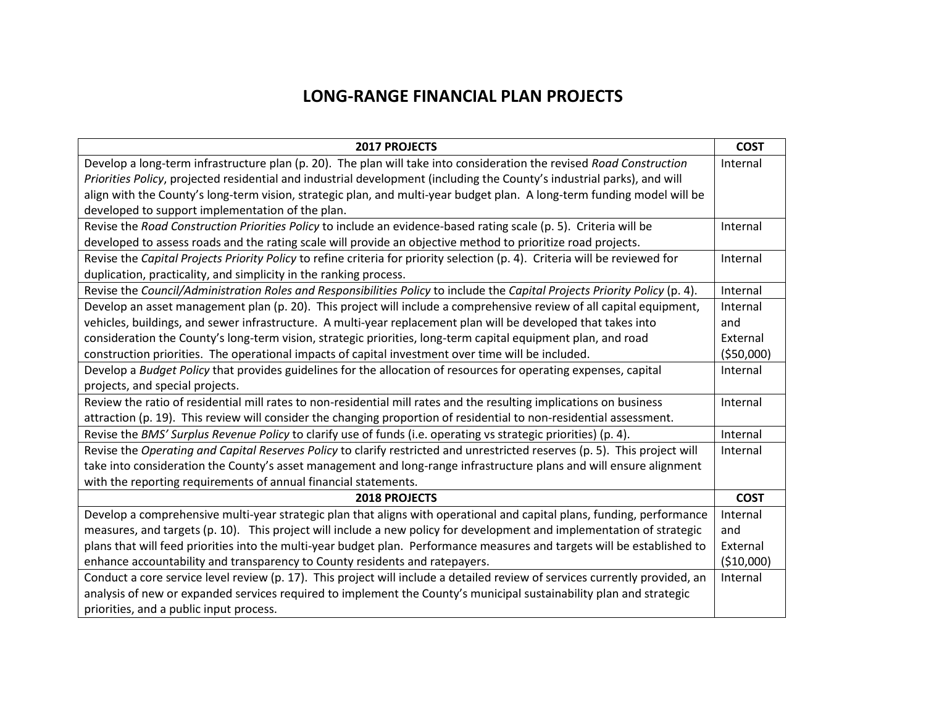## **LONG-RANGE FINANCIAL PLAN PROJECTS**

| <b>2017 PROJECTS</b>                                                                                                        | <b>COST</b> |
|-----------------------------------------------------------------------------------------------------------------------------|-------------|
| Develop a long-term infrastructure plan (p. 20). The plan will take into consideration the revised Road Construction        | Internal    |
| Priorities Policy, projected residential and industrial development (including the County's industrial parks), and will     |             |
| align with the County's long-term vision, strategic plan, and multi-year budget plan. A long-term funding model will be     |             |
| developed to support implementation of the plan.                                                                            |             |
| Revise the Road Construction Priorities Policy to include an evidence-based rating scale (p. 5). Criteria will be           | Internal    |
| developed to assess roads and the rating scale will provide an objective method to prioritize road projects.                |             |
| Revise the Capital Projects Priority Policy to refine criteria for priority selection (p. 4). Criteria will be reviewed for | Internal    |
| duplication, practicality, and simplicity in the ranking process.                                                           |             |
| Revise the Council/Administration Roles and Responsibilities Policy to include the Capital Projects Priority Policy (p. 4). | Internal    |
| Develop an asset management plan (p. 20). This project will include a comprehensive review of all capital equipment,        | Internal    |
| vehicles, buildings, and sewer infrastructure. A multi-year replacement plan will be developed that takes into              | and         |
| consideration the County's long-term vision, strategic priorities, long-term capital equipment plan, and road               | External    |
| construction priorities. The operational impacts of capital investment over time will be included.                          | ( \$50,000) |
| Develop a Budget Policy that provides guidelines for the allocation of resources for operating expenses, capital            | Internal    |
| projects, and special projects.                                                                                             |             |
| Review the ratio of residential mill rates to non-residential mill rates and the resulting implications on business         | Internal    |
| attraction (p. 19). This review will consider the changing proportion of residential to non-residential assessment.         |             |
| Revise the BMS' Surplus Revenue Policy to clarify use of funds (i.e. operating vs strategic priorities) (p. 4).             | Internal    |
| Revise the Operating and Capital Reserves Policy to clarify restricted and unrestricted reserves (p. 5). This project will  | Internal    |
| take into consideration the County's asset management and long-range infrastructure plans and will ensure alignment         |             |
| with the reporting requirements of annual financial statements.                                                             |             |
| <b>2018 PROJECTS</b>                                                                                                        | <b>COST</b> |
| Develop a comprehensive multi-year strategic plan that aligns with operational and capital plans, funding, performance      | Internal    |
| measures, and targets (p. 10). This project will include a new policy for development and implementation of strategic       | and         |
| plans that will feed priorities into the multi-year budget plan. Performance measures and targets will be established to    | External    |
| enhance accountability and transparency to County residents and ratepayers.                                                 | (\$10,000)  |
| Conduct a core service level review (p. 17). This project will include a detailed review of services currently provided, an | Internal    |
| analysis of new or expanded services required to implement the County's municipal sustainability plan and strategic         |             |
| priorities, and a public input process.                                                                                     |             |